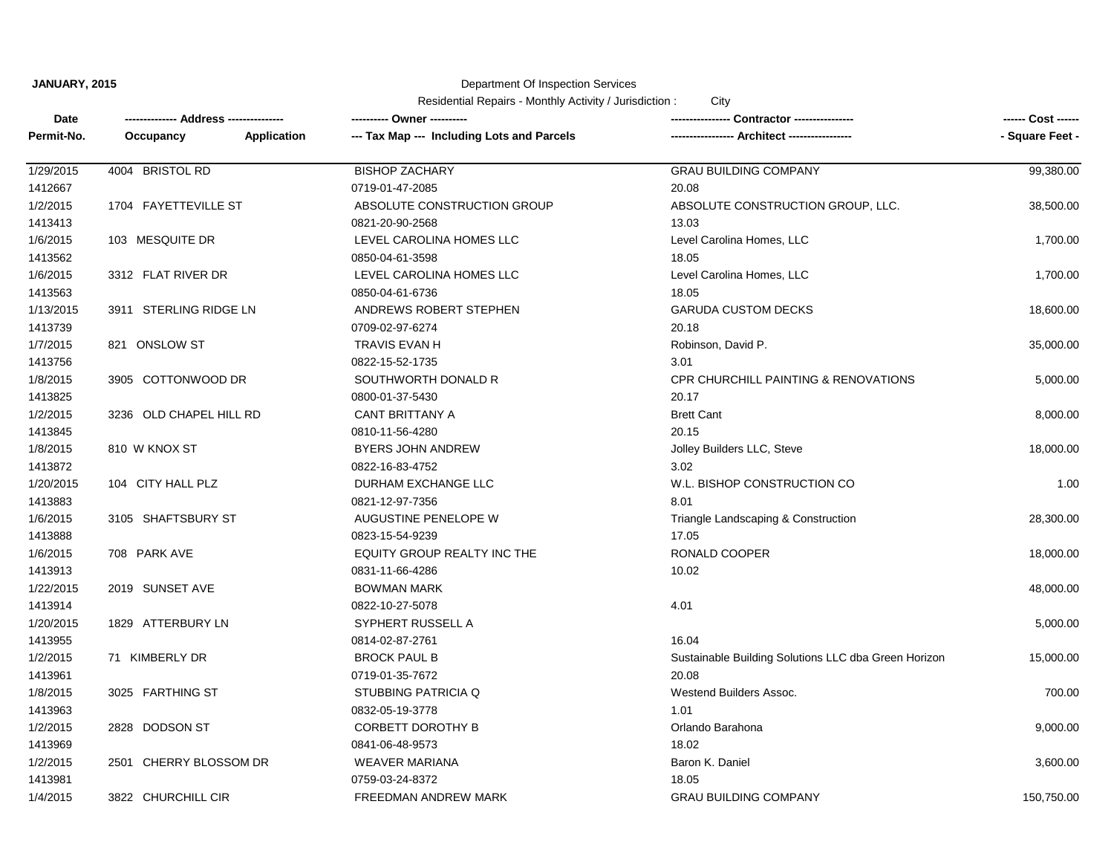#### Department Of Inspection Services

| Date       | ------------- Address --------------- | ---------- Owner ----------                |                                                      | ------ Cost ------ |
|------------|---------------------------------------|--------------------------------------------|------------------------------------------------------|--------------------|
| Permit-No. | <b>Application</b><br>Occupancy       | --- Tax Map --- Including Lots and Parcels | ---------------- Architect ----------------          | - Square Feet -    |
| 1/29/2015  | 4004 BRISTOL RD                       | <b>BISHOP ZACHARY</b>                      | <b>GRAU BUILDING COMPANY</b>                         | 99,380.00          |
| 1412667    |                                       | 0719-01-47-2085                            | 20.08                                                |                    |
| 1/2/2015   | 1704 FAYETTEVILLE ST                  | ABSOLUTE CONSTRUCTION GROUP                | ABSOLUTE CONSTRUCTION GROUP, LLC.                    | 38,500.00          |
| 1413413    |                                       | 0821-20-90-2568                            | 13.03                                                |                    |
| 1/6/2015   | 103 MESQUITE DR                       | LEVEL CAROLINA HOMES LLC                   | Level Carolina Homes, LLC                            | 1,700.00           |
| 1413562    |                                       | 0850-04-61-3598                            | 18.05                                                |                    |
| 1/6/2015   | 3312 FLAT RIVER DR                    | LEVEL CAROLINA HOMES LLC                   | Level Carolina Homes, LLC                            | 1,700.00           |
| 1413563    |                                       | 0850-04-61-6736                            | 18.05                                                |                    |
| 1/13/2015  | 3911 STERLING RIDGE LN                | ANDREWS ROBERT STEPHEN                     | <b>GARUDA CUSTOM DECKS</b>                           | 18,600.00          |
| 1413739    |                                       | 0709-02-97-6274                            | 20.18                                                |                    |
| 1/7/2015   | 821 ONSLOW ST                         | TRAVIS EVAN H                              | Robinson, David P.                                   | 35,000.00          |
| 1413756    |                                       | 0822-15-52-1735                            | 3.01                                                 |                    |
| 1/8/2015   | 3905 COTTONWOOD DR                    | SOUTHWORTH DONALD R                        | CPR CHURCHILL PAINTING & RENOVATIONS                 | 5,000.00           |
| 1413825    |                                       | 0800-01-37-5430                            | 20.17                                                |                    |
| 1/2/2015   | 3236 OLD CHAPEL HILL RD               | CANT BRITTANY A                            | <b>Brett Cant</b>                                    | 8,000.00           |
| 1413845    |                                       | 0810-11-56-4280                            | 20.15                                                |                    |
| 1/8/2015   | 810 W KNOX ST                         | BYERS JOHN ANDREW                          | Jolley Builders LLC, Steve                           | 18,000.00          |
| 1413872    |                                       | 0822-16-83-4752                            | 3.02                                                 |                    |
| 1/20/2015  | 104 CITY HALL PLZ                     | DURHAM EXCHANGE LLC                        | W.L. BISHOP CONSTRUCTION CO                          | 1.00               |
| 1413883    |                                       | 0821-12-97-7356                            | 8.01                                                 |                    |
| 1/6/2015   | 3105 SHAFTSBURY ST                    | AUGUSTINE PENELOPE W                       | Triangle Landscaping & Construction                  | 28,300.00          |
| 1413888    |                                       | 0823-15-54-9239                            | 17.05                                                |                    |
| 1/6/2015   | 708 PARK AVE                          | EQUITY GROUP REALTY INC THE                | RONALD COOPER                                        | 18,000.00          |
| 1413913    |                                       | 0831-11-66-4286                            | 10.02                                                |                    |
| 1/22/2015  | 2019 SUNSET AVE                       | <b>BOWMAN MARK</b>                         |                                                      | 48,000.00          |
| 1413914    |                                       | 0822-10-27-5078                            | 4.01                                                 |                    |
| 1/20/2015  | 1829 ATTERBURY LN                     | SYPHERT RUSSELL A                          |                                                      | 5,000.00           |
| 1413955    |                                       | 0814-02-87-2761                            | 16.04                                                |                    |
| 1/2/2015   | 71 KIMBERLY DR                        | <b>BROCK PAUL B</b>                        | Sustainable Building Solutions LLC dba Green Horizon | 15,000.00          |
| 1413961    |                                       | 0719-01-35-7672                            | 20.08                                                |                    |
| 1/8/2015   | 3025 FARTHING ST                      | STUBBING PATRICIA Q                        | Westend Builders Assoc.                              | 700.00             |
| 1413963    |                                       | 0832-05-19-3778                            | 1.01                                                 |                    |
| 1/2/2015   | 2828 DODSON ST                        | CORBETT DOROTHY B                          | Orlando Barahona                                     | 9,000.00           |
| 1413969    |                                       | 0841-06-48-9573                            | 18.02                                                |                    |
| 1/2/2015   | 2501 CHERRY BLOSSOM DR                | <b>WEAVER MARIANA</b>                      | Baron K. Daniel                                      | 3,600.00           |
| 1413981    |                                       | 0759-03-24-8372                            | 18.05                                                |                    |
| 1/4/2015   | 3822 CHURCHILL CIR                    | FREEDMAN ANDREW MARK                       | <b>GRAU BUILDING COMPANY</b>                         | 150,750.00         |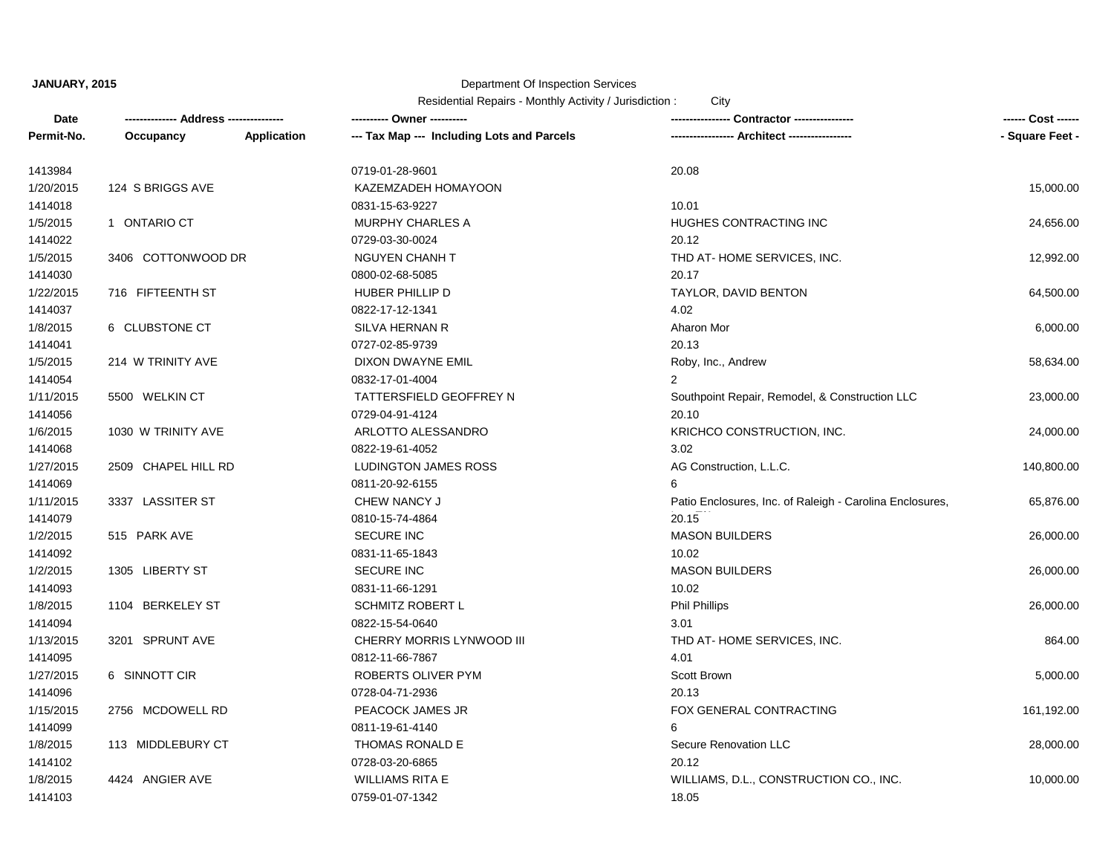## Department Of Inspection Services

| Date       |                     |                    | ---------- Owner ----------                |                                                          | ------ Cost ------ |
|------------|---------------------|--------------------|--------------------------------------------|----------------------------------------------------------|--------------------|
| Permit-No. | Occupancy           | <b>Application</b> | --- Tax Map --- Including Lots and Parcels | - Architect -----------------                            | - Square Feet -    |
| 1413984    |                     |                    | 0719-01-28-9601                            | 20.08                                                    |                    |
| 1/20/2015  | 124 S BRIGGS AVE    |                    | KAZEMZADEH HOMAYOON                        |                                                          | 15,000.00          |
| 1414018    |                     |                    | 0831-15-63-9227                            | 10.01                                                    |                    |
| 1/5/2015   | 1 ONTARIO CT        |                    | <b>MURPHY CHARLES A</b>                    | HUGHES CONTRACTING INC                                   | 24,656.00          |
| 1414022    |                     |                    | 0729-03-30-0024                            | 20.12                                                    |                    |
| 1/5/2015   | 3406 COTTONWOOD DR  |                    | <b>NGUYEN CHANH T</b>                      | THD AT-HOME SERVICES, INC.                               | 12,992.00          |
| 1414030    |                     |                    | 0800-02-68-5085                            | 20.17                                                    |                    |
| 1/22/2015  | 716 FIFTEENTH ST    |                    | HUBER PHILLIP D                            | TAYLOR, DAVID BENTON                                     | 64,500.00          |
| 1414037    |                     |                    | 0822-17-12-1341                            | 4.02                                                     |                    |
| 1/8/2015   | 6 CLUBSTONE CT      |                    | SILVA HERNAN R                             | Aharon Mor                                               | 6,000.00           |
| 1414041    |                     |                    | 0727-02-85-9739                            | 20.13                                                    |                    |
| 1/5/2015   | 214 W TRINITY AVE   |                    | DIXON DWAYNE EMIL                          | Roby, Inc., Andrew                                       | 58,634.00          |
| 1414054    |                     |                    | 0832-17-01-4004                            |                                                          |                    |
| 1/11/2015  | 5500 WELKIN CT      |                    | TATTERSFIELD GEOFFREY N                    | Southpoint Repair, Remodel, & Construction LLC           | 23,000.00          |
| 1414056    |                     |                    | 0729-04-91-4124                            | 20.10                                                    |                    |
| 1/6/2015   | 1030 W TRINITY AVE  |                    | ARLOTTO ALESSANDRO                         | KRICHCO CONSTRUCTION, INC.                               | 24,000.00          |
| 1414068    |                     |                    | 0822-19-61-4052                            | 3.02                                                     |                    |
| 1/27/2015  | 2509 CHAPEL HILL RD |                    | <b>LUDINGTON JAMES ROSS</b>                | AG Construction, L.L.C.                                  | 140,800.00         |
| 1414069    |                     |                    | 0811-20-92-6155                            | 6                                                        |                    |
| 1/11/2015  | 3337 LASSITER ST    |                    | CHEW NANCY J                               | Patio Enclosures, Inc. of Raleigh - Carolina Enclosures, | 65,876.00          |
| 1414079    |                     |                    | 0810-15-74-4864                            | 20.15                                                    |                    |
| 1/2/2015   | 515 PARK AVE        |                    | <b>SECURE INC</b>                          | <b>MASON BUILDERS</b>                                    | 26,000.00          |
| 1414092    |                     |                    | 0831-11-65-1843                            | 10.02                                                    |                    |
| 1/2/2015   | 1305 LIBERTY ST     |                    | <b>SECURE INC</b>                          | <b>MASON BUILDERS</b>                                    | 26,000.00          |
| 1414093    |                     |                    | 0831-11-66-1291                            | 10.02                                                    |                    |
| 1/8/2015   | 1104 BERKELEY ST    |                    | <b>SCHMITZ ROBERT L</b>                    | <b>Phil Phillips</b>                                     | 26,000.00          |
| 1414094    |                     |                    | 0822-15-54-0640                            | 3.01                                                     |                    |
| 1/13/2015  | 3201 SPRUNT AVE     |                    | CHERRY MORRIS LYNWOOD III                  | THD AT-HOME SERVICES, INC.                               | 864.00             |
| 1414095    |                     |                    | 0812-11-66-7867                            | 4.01                                                     |                    |
| 1/27/2015  | 6 SINNOTT CIR       |                    | ROBERTS OLIVER PYM                         | Scott Brown                                              | 5,000.00           |
| 1414096    |                     |                    | 0728-04-71-2936                            | 20.13                                                    |                    |
| 1/15/2015  | 2756 MCDOWELL RD    |                    | PEACOCK JAMES JR                           | FOX GENERAL CONTRACTING                                  | 161,192.00         |
| 1414099    |                     |                    | 0811-19-61-4140                            | 6                                                        |                    |
| 1/8/2015   | 113 MIDDLEBURY CT   |                    | THOMAS RONALD E                            | Secure Renovation LLC                                    | 28,000.00          |
| 1414102    |                     |                    | 0728-03-20-6865                            | 20.12                                                    |                    |
| 1/8/2015   | 4424 ANGIER AVE     |                    | <b>WILLIAMS RITA E</b>                     | WILLIAMS, D.L., CONSTRUCTION CO., INC.                   | 10,000.00          |
| 1414103    |                     |                    | 0759-01-07-1342                            | 18.05                                                    |                    |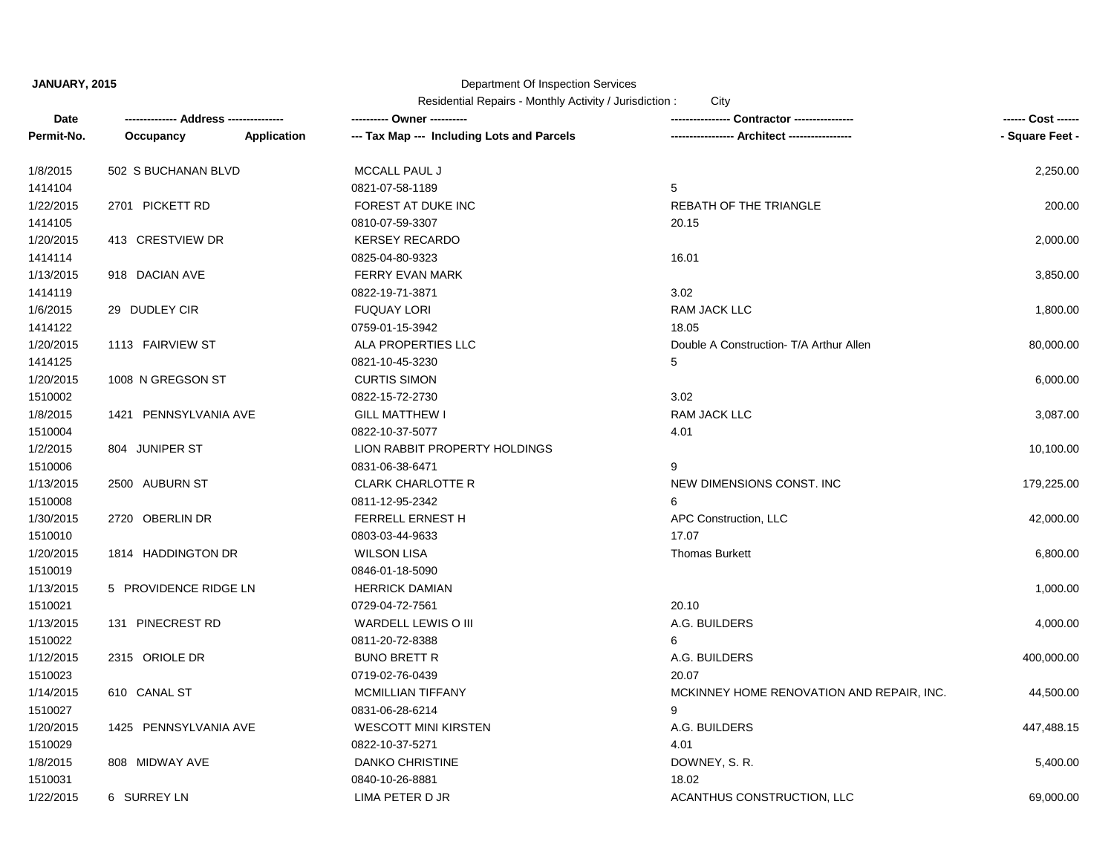### Department Of Inspection Services

| Date       |                       |             | ---------- Owner ----------                | Contractor ----------------               | ------ Cost ------ |
|------------|-----------------------|-------------|--------------------------------------------|-------------------------------------------|--------------------|
| Permit-No. | Occupancy             | Application | --- Tax Map --- Including Lots and Parcels | <b>Architect -----------</b>              | - Square Feet -    |
| 1/8/2015   | 502 S BUCHANAN BLVD   |             | MCCALL PAUL J                              |                                           | 2,250.00           |
| 1414104    |                       |             | 0821-07-58-1189                            | $5\overline{)}$                           |                    |
| 1/22/2015  | 2701 PICKETT RD       |             | FOREST AT DUKE INC                         | REBATH OF THE TRIANGLE                    | 200.00             |
| 1414105    |                       |             | 0810-07-59-3307                            | 20.15                                     |                    |
| 1/20/2015  | 413 CRESTVIEW DR      |             | <b>KERSEY RECARDO</b>                      |                                           | 2,000.00           |
| 1414114    |                       |             | 0825-04-80-9323                            | 16.01                                     |                    |
| 1/13/2015  | 918 DACIAN AVE        |             | FERRY EVAN MARK                            |                                           | 3,850.00           |
| 1414119    |                       |             | 0822-19-71-3871                            | 3.02                                      |                    |
| 1/6/2015   | 29 DUDLEY CIR         |             | <b>FUQUAY LORI</b>                         | RAM JACK LLC                              | 1,800.00           |
| 1414122    |                       |             | 0759-01-15-3942                            | 18.05                                     |                    |
| 1/20/2015  | 1113 FAIRVIEW ST      |             | ALA PROPERTIES LLC                         | Double A Construction- T/A Arthur Allen   | 80,000.00          |
| 1414125    |                       |             | 0821-10-45-3230                            | 5                                         |                    |
| 1/20/2015  | 1008 N GREGSON ST     |             | <b>CURTIS SIMON</b>                        |                                           | 6,000.00           |
| 1510002    |                       |             | 0822-15-72-2730                            | 3.02                                      |                    |
| 1/8/2015   | 1421 PENNSYLVANIA AVE |             | <b>GILL MATTHEW I</b>                      | <b>RAM JACK LLC</b>                       | 3,087.00           |
| 1510004    |                       |             | 0822-10-37-5077                            | 4.01                                      |                    |
| 1/2/2015   | 804 JUNIPER ST        |             | LION RABBIT PROPERTY HOLDINGS              |                                           | 10,100.00          |
| 1510006    |                       |             | 0831-06-38-6471                            | 9                                         |                    |
| 1/13/2015  | 2500 AUBURN ST        |             | <b>CLARK CHARLOTTE R</b>                   | NEW DIMENSIONS CONST. INC                 | 179,225.00         |
| 1510008    |                       |             | 0811-12-95-2342                            | 6                                         |                    |
| 1/30/2015  | 2720 OBERLIN DR       |             | FERRELL ERNEST H                           | APC Construction, LLC                     | 42,000.00          |
| 1510010    |                       |             | 0803-03-44-9633                            | 17.07                                     |                    |
| 1/20/2015  | 1814 HADDINGTON DR    |             | <b>WILSON LISA</b>                         | <b>Thomas Burkett</b>                     | 6,800.00           |
| 1510019    |                       |             | 0846-01-18-5090                            |                                           |                    |
| 1/13/2015  | 5 PROVIDENCE RIDGE LN |             | <b>HERRICK DAMIAN</b>                      |                                           | 1,000.00           |
| 1510021    |                       |             | 0729-04-72-7561                            | 20.10                                     |                    |
| 1/13/2015  | 131 PINECREST RD      |             | WARDELL LEWIS O III                        | A.G. BUILDERS                             | 4,000.00           |
| 1510022    |                       |             | 0811-20-72-8388                            | 6                                         |                    |
| 1/12/2015  | 2315 ORIOLE DR        |             | <b>BUNO BRETT R</b>                        | A.G. BUILDERS                             | 400,000.00         |
| 1510023    |                       |             | 0719-02-76-0439                            | 20.07                                     |                    |
| 1/14/2015  | 610 CANAL ST          |             | <b>MCMILLIAN TIFFANY</b>                   | MCKINNEY HOME RENOVATION AND REPAIR, INC. | 44,500.00          |
| 1510027    |                       |             | 0831-06-28-6214                            | 9                                         |                    |
| 1/20/2015  | 1425 PENNSYLVANIA AVE |             | <b>WESCOTT MINI KIRSTEN</b>                | A.G. BUILDERS                             | 447,488.15         |
| 1510029    |                       |             | 0822-10-37-5271                            | 4.01                                      |                    |
| 1/8/2015   | 808 MIDWAY AVE        |             | <b>DANKO CHRISTINE</b>                     | DOWNEY, S.R.                              | 5,400.00           |
| 1510031    |                       |             | 0840-10-26-8881                            | 18.02                                     |                    |
| 1/22/2015  | 6 SURREY LN           |             | LIMA PETER D JR                            | ACANTHUS CONSTRUCTION, LLC                | 69,000.00          |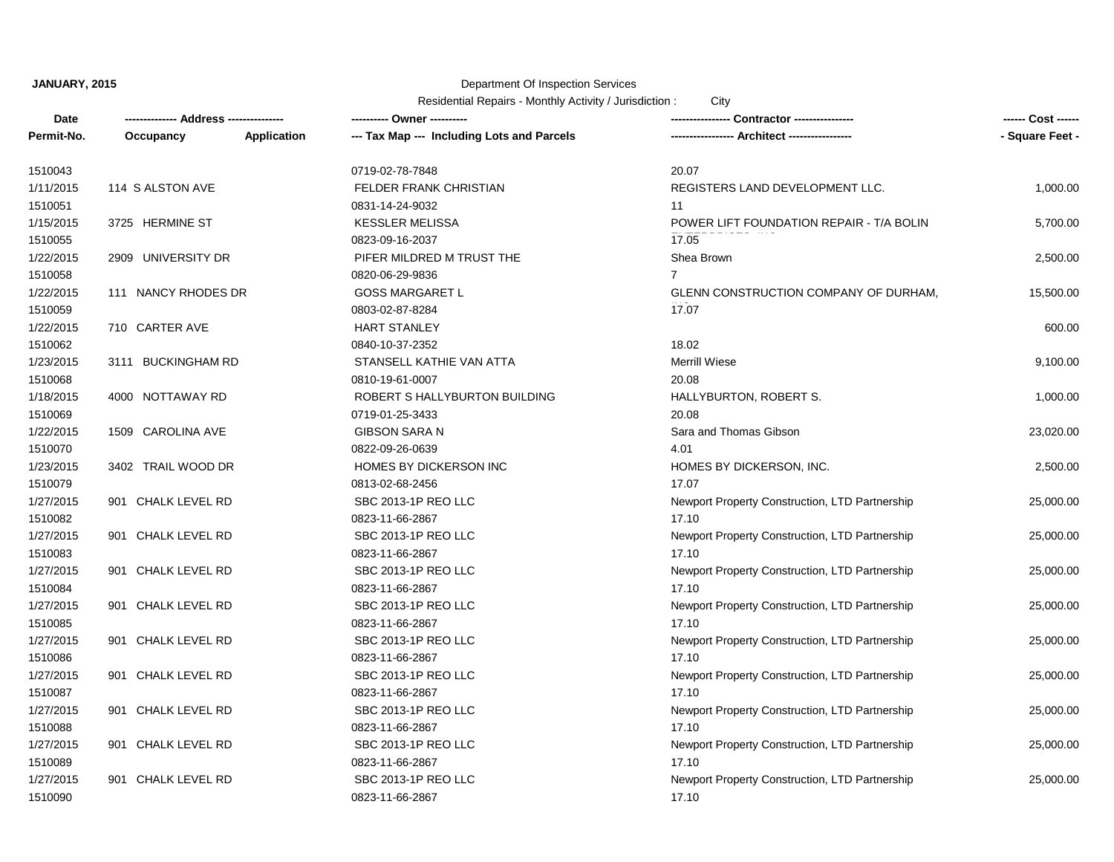# Department Of Inspection Services

| Date       | ------------- Address --------------- |                    | ---------- Owner ----------                |                                                | ------ Cost ------ |
|------------|---------------------------------------|--------------------|--------------------------------------------|------------------------------------------------|--------------------|
| Permit-No. | Occupancy                             | <b>Application</b> | --- Tax Map --- Including Lots and Parcels | --- Architect -----------------                | - Square Feet -    |
| 1510043    |                                       |                    | 0719-02-78-7848                            | 20.07                                          |                    |
| 1/11/2015  | 114 S ALSTON AVE                      |                    | <b>FELDER FRANK CHRISTIAN</b>              | REGISTERS LAND DEVELOPMENT LLC.                | 1,000.00           |
| 1510051    |                                       |                    | 0831-14-24-9032                            | 11                                             |                    |
| 1/15/2015  | 3725 HERMINE ST                       |                    | <b>KESSLER MELISSA</b>                     | POWER LIFT FOUNDATION REPAIR - T/A BOLIN       | 5,700.00           |
| 1510055    |                                       |                    | 0823-09-16-2037                            | 17.05                                          |                    |
| 1/22/2015  | 2909 UNIVERSITY DR                    |                    | PIFER MILDRED M TRUST THE                  | Shea Brown                                     | 2,500.00           |
| 1510058    |                                       |                    | 0820-06-29-9836                            | $\overline{7}$                                 |                    |
| 1/22/2015  | 111 NANCY RHODES DR                   |                    | <b>GOSS MARGARET L</b>                     | GLENN CONSTRUCTION COMPANY OF DURHAM,          | 15,500.00          |
| 1510059    |                                       |                    | 0803-02-87-8284                            | 17.07                                          |                    |
| 1/22/2015  | 710 CARTER AVE                        |                    | <b>HART STANLEY</b>                        |                                                | 600.00             |
| 1510062    |                                       |                    | 0840-10-37-2352                            | 18.02                                          |                    |
| 1/23/2015  | 3111 BUCKINGHAM RD                    |                    | STANSELL KATHIE VAN ATTA                   | <b>Merrill Wiese</b>                           | 9,100.00           |
| 1510068    |                                       |                    | 0810-19-61-0007                            | 20.08                                          |                    |
| 1/18/2015  | 4000 NOTTAWAY RD                      |                    | ROBERT S HALLYBURTON BUILDING              | HALLYBURTON, ROBERT S.                         | 1,000.00           |
| 1510069    |                                       |                    | 0719-01-25-3433                            | 20.08                                          |                    |
| 1/22/2015  | 1509 CAROLINA AVE                     |                    | <b>GIBSON SARA N</b>                       | Sara and Thomas Gibson                         | 23,020.00          |
| 1510070    |                                       |                    | 0822-09-26-0639                            | 4.01                                           |                    |
| 1/23/2015  | 3402 TRAIL WOOD DR                    |                    | HOMES BY DICKERSON INC                     | HOMES BY DICKERSON, INC.                       | 2,500.00           |
| 1510079    |                                       |                    | 0813-02-68-2456                            | 17.07                                          |                    |
| 1/27/2015  | 901 CHALK LEVEL RD                    |                    | SBC 2013-1P REO LLC                        | Newport Property Construction, LTD Partnership | 25,000.00          |
| 1510082    |                                       |                    | 0823-11-66-2867                            | 17.10                                          |                    |
| 1/27/2015  | 901 CHALK LEVEL RD                    |                    | SBC 2013-1P REO LLC                        | Newport Property Construction, LTD Partnership | 25,000.00          |
| 1510083    |                                       |                    | 0823-11-66-2867                            | 17.10                                          |                    |
| 1/27/2015  | 901 CHALK LEVEL RD                    |                    | SBC 2013-1P REO LLC                        | Newport Property Construction, LTD Partnership | 25,000.00          |
| 1510084    |                                       |                    | 0823-11-66-2867                            | 17.10                                          |                    |
| 1/27/2015  | 901 CHALK LEVEL RD                    |                    | SBC 2013-1P REO LLC                        | Newport Property Construction, LTD Partnership | 25,000.00          |
| 1510085    |                                       |                    | 0823-11-66-2867                            | 17.10                                          |                    |
| 1/27/2015  | 901 CHALK LEVEL RD                    |                    | SBC 2013-1P REO LLC                        | Newport Property Construction, LTD Partnership | 25,000.00          |
| 1510086    |                                       |                    | 0823-11-66-2867                            | 17.10                                          |                    |
| 1/27/2015  | 901 CHALK LEVEL RD                    |                    | SBC 2013-1P REO LLC                        | Newport Property Construction, LTD Partnership | 25,000.00          |
| 1510087    |                                       |                    | 0823-11-66-2867                            | 17.10                                          |                    |
| 1/27/2015  | 901 CHALK LEVEL RD                    |                    | SBC 2013-1P REO LLC                        | Newport Property Construction, LTD Partnership | 25,000.00          |
| 1510088    |                                       |                    | 0823-11-66-2867                            | 17.10                                          |                    |
| 1/27/2015  | 901 CHALK LEVEL RD                    |                    | SBC 2013-1P REO LLC                        | Newport Property Construction, LTD Partnership | 25,000.00          |
| 1510089    |                                       |                    | 0823-11-66-2867                            | 17.10                                          |                    |
| 1/27/2015  | 901 CHALK LEVEL RD                    |                    | SBC 2013-1P REO LLC                        | Newport Property Construction, LTD Partnership | 25,000.00          |
| 1510090    |                                       |                    | 0823-11-66-2867                            | 17.10                                          |                    |